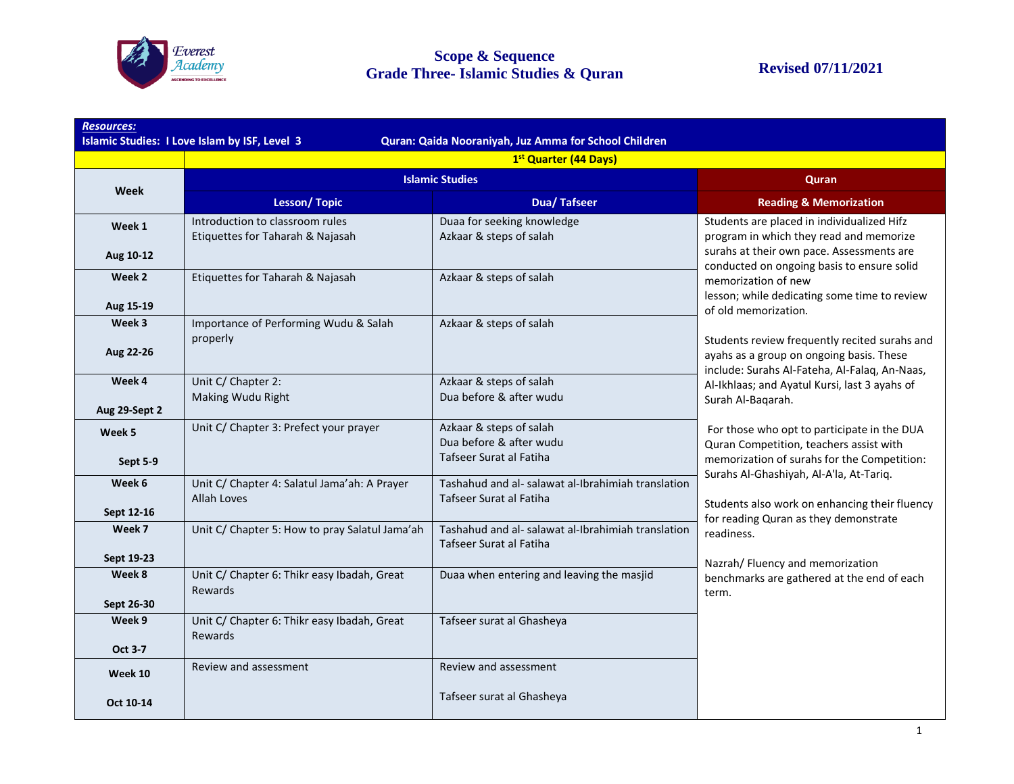

|                      | 1 <sup>st</sup> Quarter (44 Days)                                   |                                                                               |                                                                                                                                                                                     |  |
|----------------------|---------------------------------------------------------------------|-------------------------------------------------------------------------------|-------------------------------------------------------------------------------------------------------------------------------------------------------------------------------------|--|
| <b>Week</b>          | <b>Islamic Studies</b>                                              |                                                                               | Quran                                                                                                                                                                               |  |
|                      | <b>Lesson/Topic</b>                                                 | <b>Dua/Tafseer</b>                                                            | <b>Reading &amp; Memorization</b>                                                                                                                                                   |  |
| Week 1               | Introduction to classroom rules<br>Etiquettes for Taharah & Najasah | Duaa for seeking knowledge<br>Azkaar & steps of salah                         | Students are placed in individualized Hifz<br>program in which they read and memorize                                                                                               |  |
| Aug 10-12            |                                                                     |                                                                               | surahs at their own pace. Assessments are<br>conducted on ongoing basis to ensure solid                                                                                             |  |
| Week 2<br>Aug 15-19  | Etiquettes for Taharah & Najasah                                    | Azkaar & steps of salah                                                       | memorization of new<br>lesson; while dedicating some time to review<br>of old memorization.                                                                                         |  |
| Week 3               | Importance of Performing Wudu & Salah                               | Azkaar & steps of salah                                                       |                                                                                                                                                                                     |  |
| Aug 22-26            | properly                                                            |                                                                               | Students review frequently recited surahs and<br>ayahs as a group on ongoing basis. These<br>include: Surahs Al-Fateha, Al-Falaq, An-Naas,                                          |  |
| Week 4               | Unit C/ Chapter 2:                                                  | Azkaar & steps of salah                                                       | Al-Ikhlaas; and Ayatul Kursi, last 3 ayahs of                                                                                                                                       |  |
| Aug 29-Sept 2        | Making Wudu Right                                                   | Dua before & after wudu                                                       | Surah Al-Baqarah.                                                                                                                                                                   |  |
| Week 5               | Unit C/ Chapter 3: Prefect your prayer                              | Azkaar & steps of salah<br>Dua before & after wudu                            | For those who opt to participate in the DUA<br>Quran Competition, teachers assist with                                                                                              |  |
| Sept 5-9             |                                                                     | Tafseer Surat al Fatiha                                                       | memorization of surahs for the Competition:                                                                                                                                         |  |
| Week 6               | Unit C/ Chapter 4: Salatul Jama'ah: A Prayer<br>Allah Loves         | Tashahud and al- salawat al-Ibrahimiah translation<br>Tafseer Surat al Fatiha | Surahs Al-Ghashiyah, Al-A'la, At-Tariq.<br>Students also work on enhancing their fluency<br>for reading Quran as they demonstrate<br>readiness.<br>Nazrah/ Fluency and memorization |  |
| Sept 12-16           |                                                                     |                                                                               |                                                                                                                                                                                     |  |
| Week 7               | Unit C/ Chapter 5: How to pray Salatul Jama'ah                      | Tashahud and al- salawat al-Ibrahimiah translation<br>Tafseer Surat al Fatiha |                                                                                                                                                                                     |  |
| Sept 19-23<br>Week 8 | Unit C/ Chapter 6: Thikr easy Ibadah, Great                         | Duaa when entering and leaving the masjid                                     |                                                                                                                                                                                     |  |
| Sept 26-30           | Rewards                                                             |                                                                               | benchmarks are gathered at the end of each<br>term.                                                                                                                                 |  |
| Week 9               | Unit C/ Chapter 6: Thikr easy Ibadah, Great<br>Rewards              | Tafseer surat al Ghasheya                                                     |                                                                                                                                                                                     |  |
| <b>Oct 3-7</b>       |                                                                     |                                                                               |                                                                                                                                                                                     |  |
| Week 10              | Review and assessment                                               | Review and assessment                                                         |                                                                                                                                                                                     |  |
| Oct 10-14            |                                                                     | Tafseer surat al Ghasheya                                                     |                                                                                                                                                                                     |  |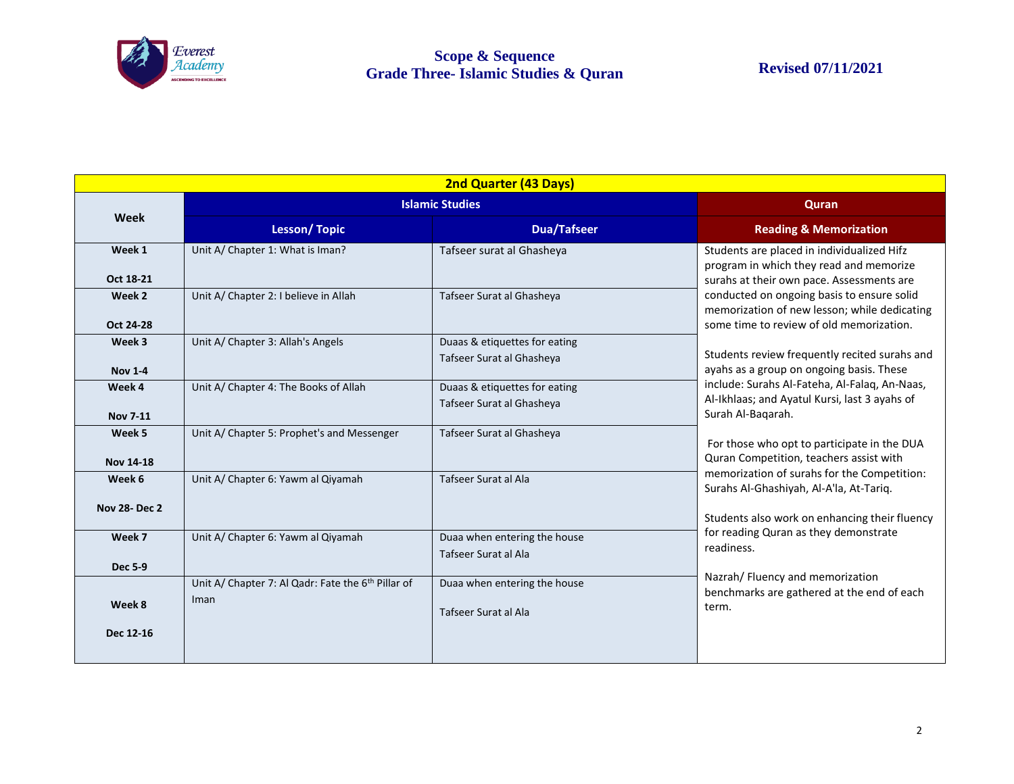

| 2nd Quarter (43 Days)         |                                                                        |                                                            |                                                                                                                                                                                                                                                                                                                                                            |  |  |  |
|-------------------------------|------------------------------------------------------------------------|------------------------------------------------------------|------------------------------------------------------------------------------------------------------------------------------------------------------------------------------------------------------------------------------------------------------------------------------------------------------------------------------------------------------------|--|--|--|
| Week                          | <b>Islamic Studies</b>                                                 |                                                            | Quran                                                                                                                                                                                                                                                                                                                                                      |  |  |  |
|                               | <b>Lesson/Topic</b>                                                    | <b>Dua/Tafseer</b>                                         | <b>Reading &amp; Memorization</b>                                                                                                                                                                                                                                                                                                                          |  |  |  |
| Week 1<br>Oct 18-21           | Unit A/ Chapter 1: What is Iman?                                       | Tafseer surat al Ghasheya                                  | Students are placed in individualized Hifz<br>program in which they read and memorize<br>surahs at their own pace. Assessments are                                                                                                                                                                                                                         |  |  |  |
| Week 2<br>Oct 24-28           | Unit A/ Chapter 2: I believe in Allah                                  | Tafseer Surat al Ghasheya                                  | conducted on ongoing basis to ensure solid<br>memorization of new lesson; while dedicating<br>some time to review of old memorization.<br>Students review frequently recited surahs and<br>ayahs as a group on ongoing basis. These<br>include: Surahs Al-Fateha, Al-Falaq, An-Naas,<br>Al-Ikhlaas; and Ayatul Kursi, last 3 ayahs of<br>Surah Al-Baqarah. |  |  |  |
| Week 3<br><b>Nov 1-4</b>      | Unit A/ Chapter 3: Allah's Angels                                      | Duaas & etiquettes for eating<br>Tafseer Surat al Ghasheya |                                                                                                                                                                                                                                                                                                                                                            |  |  |  |
| Week 4<br><b>Nov 7-11</b>     | Unit A/ Chapter 4: The Books of Allah                                  | Duaas & etiquettes for eating<br>Tafseer Surat al Ghasheya |                                                                                                                                                                                                                                                                                                                                                            |  |  |  |
| Week 5<br><b>Nov 14-18</b>    | Unit A/ Chapter 5: Prophet's and Messenger                             | Tafseer Surat al Ghasheya                                  | For those who opt to participate in the DUA<br>Quran Competition, teachers assist with                                                                                                                                                                                                                                                                     |  |  |  |
| Week 6<br><b>Nov 28-Dec 2</b> | Unit A/ Chapter 6: Yawm al Qiyamah                                     | Tafseer Surat al Ala                                       | memorization of surahs for the Competition:<br>Surahs Al-Ghashiyah, Al-A'la, At-Tariq.<br>Students also work on enhancing their fluency                                                                                                                                                                                                                    |  |  |  |
| Week 7<br><b>Dec 5-9</b>      | Unit A/ Chapter 6: Yawm al Qiyamah                                     | Duaa when entering the house<br>Tafseer Surat al Ala       | for reading Quran as they demonstrate<br>readiness.<br>Nazrah/ Fluency and memorization<br>benchmarks are gathered at the end of each<br>term.                                                                                                                                                                                                             |  |  |  |
| Week 8<br>Dec 12-16           | Unit A/ Chapter 7: Al Qadr: Fate the 6 <sup>th</sup> Pillar of<br>Iman | Duaa when entering the house<br>Tafseer Surat al Ala       |                                                                                                                                                                                                                                                                                                                                                            |  |  |  |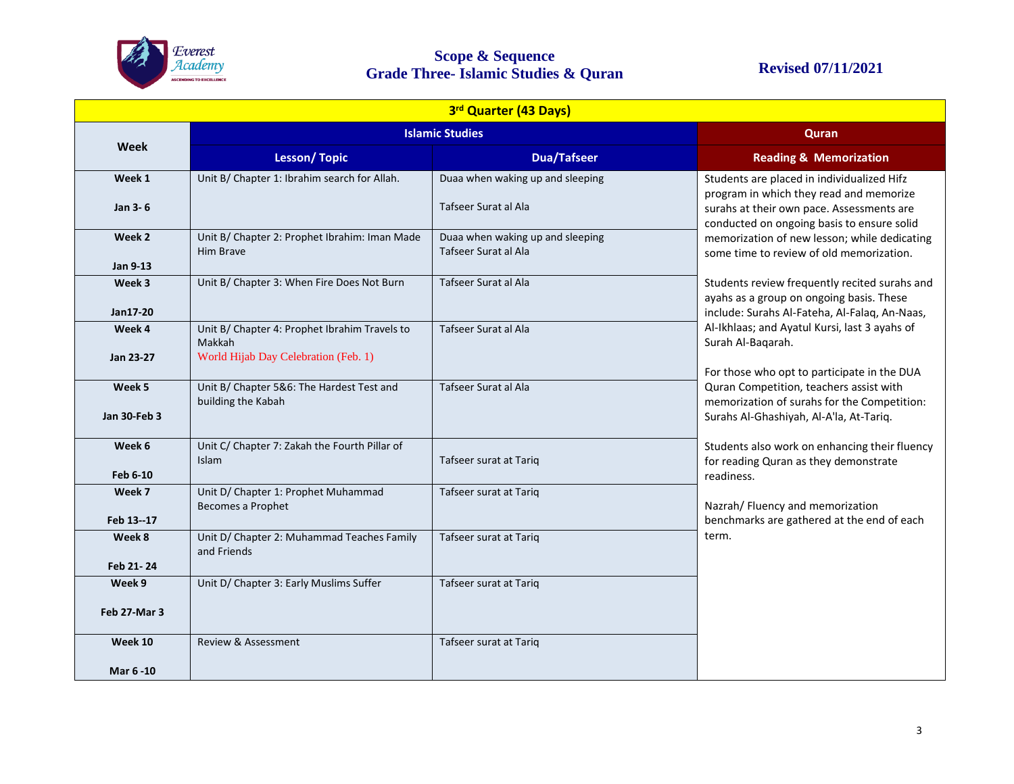

## **Scope & Sequence Grade Three- Islamic Studies & Quran Revised 07/11/2021**

|                        | 3rd Quarter (43 Days)                                                                           |                                                          |                                                                                                                                                                                                                                                                              |  |  |  |  |
|------------------------|-------------------------------------------------------------------------------------------------|----------------------------------------------------------|------------------------------------------------------------------------------------------------------------------------------------------------------------------------------------------------------------------------------------------------------------------------------|--|--|--|--|
|                        | <b>Islamic Studies</b>                                                                          |                                                          | Quran                                                                                                                                                                                                                                                                        |  |  |  |  |
| Week                   | <b>Lesson/Topic</b>                                                                             | <b>Dua/Tafseer</b>                                       | <b>Reading &amp; Memorization</b>                                                                                                                                                                                                                                            |  |  |  |  |
| Week 1<br>Jan 3-6      | Unit B/ Chapter 1: Ibrahim search for Allah.                                                    | Duaa when waking up and sleeping<br>Tafseer Surat al Ala | Students are placed in individualized Hifz<br>program in which they read and memorize<br>surahs at their own pace. Assessments are<br>conducted on ongoing basis to ensure solid<br>memorization of new lesson; while dedicating<br>some time to review of old memorization. |  |  |  |  |
| Week 2<br>Jan 9-13     | Unit B/ Chapter 2: Prophet Ibrahim: Iman Made<br>Him Brave                                      | Duaa when waking up and sleeping<br>Tafseer Surat al Ala |                                                                                                                                                                                                                                                                              |  |  |  |  |
| Week 3<br>Jan17-20     | Unit B/ Chapter 3: When Fire Does Not Burn                                                      | Tafseer Surat al Ala                                     | Students review frequently recited surahs and<br>ayahs as a group on ongoing basis. These<br>include: Surahs Al-Fateha, Al-Falaq, An-Naas,                                                                                                                                   |  |  |  |  |
| Week 4<br>Jan 23-27    | Unit B/ Chapter 4: Prophet Ibrahim Travels to<br>Makkah<br>World Hijab Day Celebration (Feb. 1) | Tafseer Surat al Ala                                     | Al-Ikhlaas; and Ayatul Kursi, last 3 ayahs of<br>Surah Al-Bagarah.<br>For those who opt to participate in the DUA<br>Quran Competition, teachers assist with<br>memorization of surahs for the Competition:<br>Surahs Al-Ghashiyah, Al-A'la, At-Tariq.                       |  |  |  |  |
| Week 5<br>Jan 30-Feb 3 | Unit B/ Chapter 5&6: The Hardest Test and<br>building the Kabah                                 | Tafseer Surat al Ala                                     |                                                                                                                                                                                                                                                                              |  |  |  |  |
| Week 6<br>Feb 6-10     | Unit C/ Chapter 7: Zakah the Fourth Pillar of<br>Islam                                          | Tafseer surat at Tariq                                   | Students also work on enhancing their fluency<br>for reading Quran as they demonstrate<br>readiness.                                                                                                                                                                         |  |  |  |  |
| Week 7<br>Feb 13--17   | Unit D/ Chapter 1: Prophet Muhammad<br>Becomes a Prophet                                        | Tafseer surat at Tariq                                   | Nazrah/ Fluency and memorization<br>benchmarks are gathered at the end of each<br>term.                                                                                                                                                                                      |  |  |  |  |
| Week 8<br>Feb 21-24    | Unit D/ Chapter 2: Muhammad Teaches Family<br>and Friends                                       | Tafseer surat at Tariq                                   |                                                                                                                                                                                                                                                                              |  |  |  |  |
| Week 9<br>Feb 27-Mar 3 | Unit D/ Chapter 3: Early Muslims Suffer                                                         | Tafseer surat at Tariq                                   |                                                                                                                                                                                                                                                                              |  |  |  |  |
| Week 10<br>Mar 6 -10   | Review & Assessment                                                                             | Tafseer surat at Tariq                                   |                                                                                                                                                                                                                                                                              |  |  |  |  |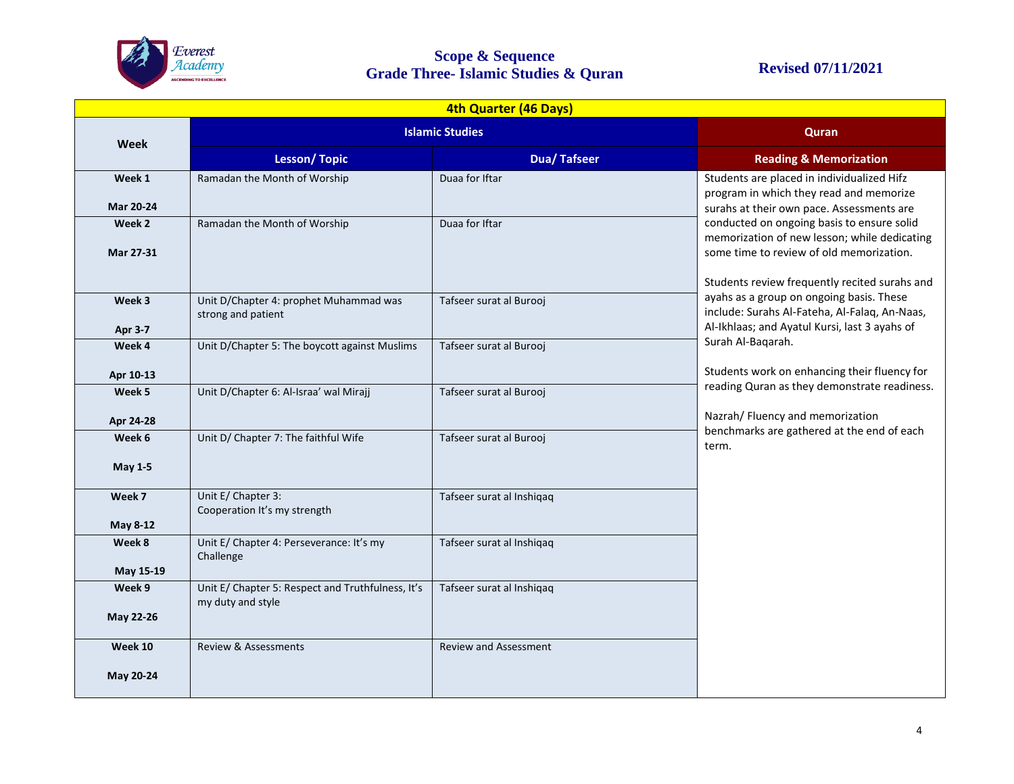

## **Scope & Sequence Grade Three- Islamic Studies & Quran Revised 07/11/2021**

|                            | 4th Quarter (46 Days)                                                  |                              |                                                                                                                                                                                                                                                                                                                                                                                                                                                                             |  |  |  |  |
|----------------------------|------------------------------------------------------------------------|------------------------------|-----------------------------------------------------------------------------------------------------------------------------------------------------------------------------------------------------------------------------------------------------------------------------------------------------------------------------------------------------------------------------------------------------------------------------------------------------------------------------|--|--|--|--|
| Week                       | <b>Islamic Studies</b>                                                 |                              | Quran                                                                                                                                                                                                                                                                                                                                                                                                                                                                       |  |  |  |  |
|                            | <b>Lesson/Topic</b>                                                    | <b>Dua/Tafseer</b>           | <b>Reading &amp; Memorization</b>                                                                                                                                                                                                                                                                                                                                                                                                                                           |  |  |  |  |
| Week 1<br><b>Mar 20-24</b> | Ramadan the Month of Worship                                           | Duaa for Iftar               | Students are placed in individualized Hifz<br>program in which they read and memorize<br>surahs at their own pace. Assessments are<br>conducted on ongoing basis to ensure solid<br>memorization of new lesson; while dedicating<br>some time to review of old memorization.<br>Students review frequently recited surahs and<br>ayahs as a group on ongoing basis. These<br>include: Surahs Al-Fateha, Al-Falaq, An-Naas,<br>Al-Ikhlaas; and Ayatul Kursi, last 3 ayahs of |  |  |  |  |
| Week 2<br>Mar 27-31        | Ramadan the Month of Worship                                           | Duaa for Iftar               |                                                                                                                                                                                                                                                                                                                                                                                                                                                                             |  |  |  |  |
| Week 3<br><b>Apr 3-7</b>   | Unit D/Chapter 4: prophet Muhammad was<br>strong and patient           | Tafseer surat al Burooj      |                                                                                                                                                                                                                                                                                                                                                                                                                                                                             |  |  |  |  |
| Week 4                     | Unit D/Chapter 5: The boycott against Muslims                          | Tafseer surat al Burooj      | Surah Al-Baqarah.                                                                                                                                                                                                                                                                                                                                                                                                                                                           |  |  |  |  |
| Apr 10-13                  |                                                                        |                              | Students work on enhancing their fluency for<br>reading Quran as they demonstrate readiness.                                                                                                                                                                                                                                                                                                                                                                                |  |  |  |  |
| Week 5                     | Unit D/Chapter 6: Al-Israa' wal Mirajj                                 | Tafseer surat al Burooj      |                                                                                                                                                                                                                                                                                                                                                                                                                                                                             |  |  |  |  |
| Apr 24-28                  |                                                                        |                              | Nazrah/ Fluency and memorization<br>benchmarks are gathered at the end of each                                                                                                                                                                                                                                                                                                                                                                                              |  |  |  |  |
| Week 6<br><b>May 1-5</b>   | Unit D/ Chapter 7: The faithful Wife                                   | Tafseer surat al Burooj      | term.                                                                                                                                                                                                                                                                                                                                                                                                                                                                       |  |  |  |  |
| Week 7                     | Unit E/ Chapter 3:<br>Cooperation It's my strength                     | Tafseer surat al Inshiqaq    |                                                                                                                                                                                                                                                                                                                                                                                                                                                                             |  |  |  |  |
| May 8-12                   |                                                                        |                              |                                                                                                                                                                                                                                                                                                                                                                                                                                                                             |  |  |  |  |
| Week 8<br>May 15-19        | Unit E/ Chapter 4: Perseverance: It's my<br>Challenge                  | Tafseer surat al Inshiqaq    |                                                                                                                                                                                                                                                                                                                                                                                                                                                                             |  |  |  |  |
| Week 9<br>May 22-26        | Unit E/ Chapter 5: Respect and Truthfulness, It's<br>my duty and style | Tafseer surat al Inshiqaq    |                                                                                                                                                                                                                                                                                                                                                                                                                                                                             |  |  |  |  |
| Week 10<br>May 20-24       | <b>Review &amp; Assessments</b>                                        | <b>Review and Assessment</b> |                                                                                                                                                                                                                                                                                                                                                                                                                                                                             |  |  |  |  |